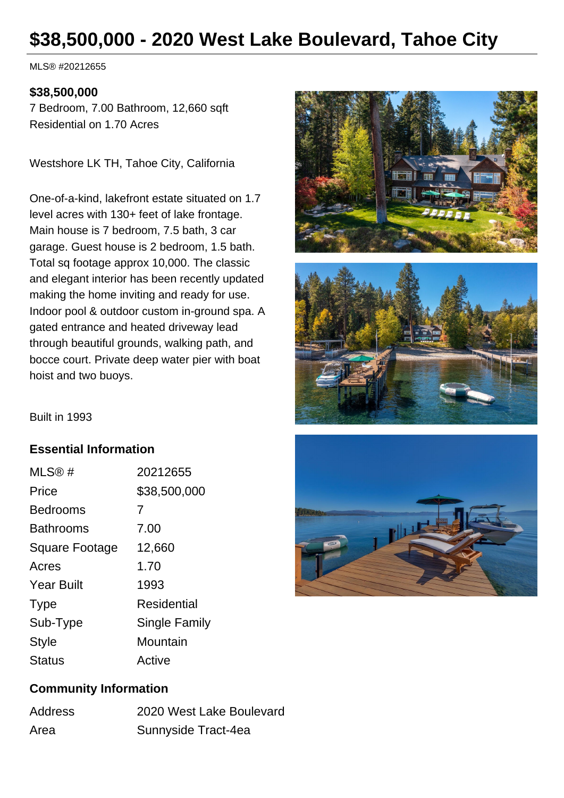# **\$38,500,000 - 2020 West Lake Boulevard, Tahoe City**

MLS® #20212655

#### **\$38,500,000**

7 Bedroom, 7.00 Bathroom, 12,660 sqft Residential on 1.70 Acres

Westshore LK TH, Tahoe City, California

One-of-a-kind, lakefront estate situated on 1.7 level acres with 130+ feet of lake frontage. Main house is 7 bedroom, 7.5 bath, 3 car garage. Guest house is 2 bedroom, 1.5 bath. Total sq footage approx 10,000. The classic and elegant interior has been recently updated making the home inviting and ready for use. Indoor pool & outdoor custom in-ground spa. A gated entrance and heated driveway lead through beautiful grounds, walking path, and bocce court. Private deep water pier with boat hoist and two buoys.





Built in 1993

#### **Essential Information**

| MLS@#                 | 20212655      |
|-----------------------|---------------|
| Price                 | \$38,500,000  |
| <b>Bedrooms</b>       | 7             |
| <b>Bathrooms</b>      | 7.00          |
| <b>Square Footage</b> | 12,660        |
| Acres                 | 1.70          |
| <b>Year Built</b>     | 1993          |
| <b>Type</b>           | Residential   |
| Sub-Type              | Single Family |
| <b>Style</b>          | Mountain      |
| Status                | Active        |



## **Community Information**

| Address | 2020 West Lake Boulevard |
|---------|--------------------------|
| Area    | Sunnyside Tract-4ea      |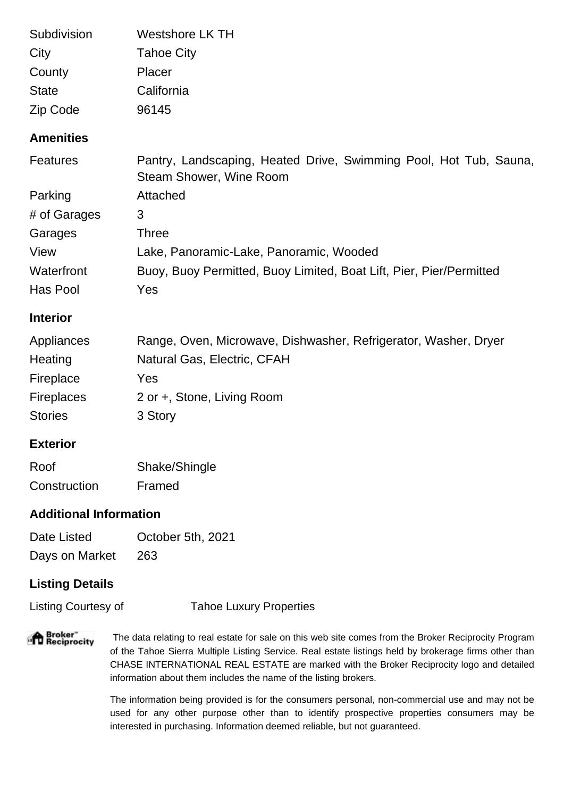| Subdivision  | Westshore LK TH   |
|--------------|-------------------|
| City         | <b>Tahoe City</b> |
| County       | Placer            |
| <b>State</b> | California        |
| Zip Code     | 96145             |

# **Amenities**

| Features     | Pantry, Landscaping, Heated Drive, Swimming Pool, Hot Tub, Sauna,   |
|--------------|---------------------------------------------------------------------|
|              | Steam Shower, Wine Room                                             |
| Parking      | Attached                                                            |
| # of Garages | 3                                                                   |
| Garages      | Three                                                               |
| View         | Lake, Panoramic-Lake, Panoramic, Wooded                             |
| Waterfront   | Buoy, Buoy Permitted, Buoy Limited, Boat Lift, Pier, Pier/Permitted |
| Has Pool     | Yes                                                                 |

## **Interior**

| Appliances        | Range, Oven, Microwave, Dishwasher, Refrigerator, Washer, Dryer |
|-------------------|-----------------------------------------------------------------|
| Heating           | Natural Gas, Electric, CFAH                                     |
| Fireplace         | <b>Yes</b>                                                      |
| <b>Fireplaces</b> | 2 or +, Stone, Living Room                                      |
| <b>Stories</b>    | 3 Story                                                         |

#### **Exterior**

| Roof         | Shake/Shingle |
|--------------|---------------|
| Construction | Framed        |

# **Additional Information**

Date Listed **October 5th, 2021** Days on Market 263

# **Listing Details**

Listing Courtesy of Tahoe Luxury Properties

**Broker"**<br>The ciprocity

 The data relating to real estate for sale on this web site comes from the Broker Reciprocity Program of the Tahoe Sierra Multiple Listing Service. Real estate listings held by brokerage firms other than CHASE INTERNATIONAL REAL ESTATE are marked with the Broker Reciprocity logo and detailed information about them includes the name of the listing brokers.

The information being provided is for the consumers personal, non-commercial use and may not be used for any other purpose other than to identify prospective properties consumers may be interested in purchasing. Information deemed reliable, but not guaranteed.